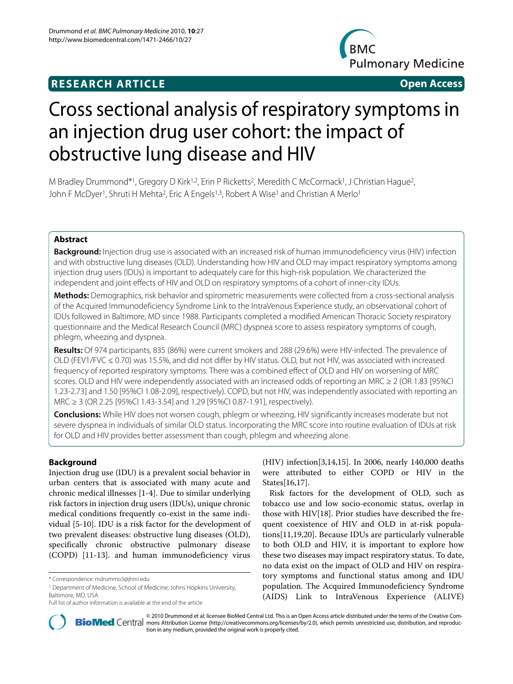# **RESEARCH ARTICLE Open Access**



# Cross sectional analysis of respiratory symptoms in an injection drug user cohort: the impact of obstructive lung disease and HIV

M Bradley Drummond\*1, Gregory D Kirk<sup>1,2</sup>, Erin P Ricketts<sup>2</sup>, Meredith C McCormack<sup>1</sup>, J Christian Hague<sup>2</sup>, John F McDyer<sup>1</sup>, Shruti H Mehta<sup>2</sup>, Eric A Engels<sup>1,3</sup>, Robert A Wise<sup>1</sup> and Christian A Merlo<sup>1</sup>

# **Abstract**

**Background:** Injection drug use is associated with an increased risk of human immunodeficiency virus (HIV) infection and with obstructive lung diseases (OLD). Understanding how HIV and OLD may impact respiratory symptoms among injection drug users (IDUs) is important to adequately care for this high-risk population. We characterized the independent and joint effects of HIV and OLD on respiratory symptoms of a cohort of inner-city IDUs.

**Methods:** Demographics, risk behavior and spirometric measurements were collected from a cross-sectional analysis of the Acquired Immunodeficiency Syndrome Link to the IntraVenous Experience study, an observational cohort of IDUs followed in Baltimore, MD since 1988. Participants completed a modified American Thoracic Society respiratory questionnaire and the Medical Research Council (MRC) dyspnea score to assess respiratory symptoms of cough, phlegm, wheezing and dyspnea.

**Results:** Of 974 participants, 835 (86%) were current smokers and 288 (29.6%) were HIV-infected. The prevalence of OLD (FEV1/FVC ≤ 0.70) was 15.5%, and did not differ by HIV status. OLD, but not HIV, was associated with increased frequency of reported respiratory symptoms. There was a combined effect of OLD and HIV on worsening of MRC scores. OLD and HIV were independently associated with an increased odds of reporting an MRC ≥ 2 (OR 1.83 [95%CI 1.23-2.73] and 1.50 [95%CI 1.08-2.09], respectively). COPD, but not HIV, was independently associated with reporting an MRC ≥ 3 (OR 2.25 [95%CI 1.43-3.54] and 1.29 [95%CI 0.87-1.91], respectively).

**Conclusions:** While HIV does not worsen cough, phlegm or wheezing, HIV significantly increases moderate but not severe dyspnea in individuals of similar OLD status. Incorporating the MRC score into routine evaluation of IDUs at risk for OLD and HIV provides better assessment than cough, phlegm and wheezing alone.

# **Background**

Injection drug use (IDU) is a prevalent social behavior in urban centers that is associated with many acute and chronic medical illnesses [\[1](#page-7-0)-[4\]](#page-7-1). Due to similar underlying risk factors in injection drug users (IDUs), unique chronic medical conditions frequently co-exist in the same individual [[5-](#page-7-2)[10\]](#page-7-3). IDU is a risk factor for the development of two prevalent diseases: obstructive lung diseases (OLD), specifically chronic obstructive pulmonary disease (COPD) [[11](#page-7-4)[-13](#page-7-5)]. and human immunodeficiency virus

(HIV) infection[[3](#page-7-6),[14,](#page-7-7)[15\]](#page-7-8). In 2006, nearly 140,000 deaths were attributed to either COPD or HIV in the States[\[16,](#page-7-9)[17\]](#page-7-10).

Risk factors for the development of OLD, such as tobacco use and low socio-economic status, overlap in those with HIV[\[18](#page-7-11)]. Prior studies have described the frequent coexistence of HIV and OLD in at-risk populations[\[11](#page-7-4)[,19](#page-7-12)[,20](#page-7-13)]. Because IDUs are particularly vulnerable to both OLD and HIV, it is important to explore how these two diseases may impact respiratory status. To date, no data exist on the impact of OLD and HIV on respiratory symptoms and functional status among and IDU population. The Acquired Immunodeficiency Syndrome (AIDS) Link to IntraVenous Experience (ALIVE)



© 2010 Drummond et al; licensee [BioMed](http://www.biomedcentral.com/) Central Ltd. This is an Open Access article distributed under the terms of the Creative Com-<br>Bio Med Central mons Attribution License (http://creativecommons.org/licenses/by/2.0), whi tion in any medium, provided the original work is properly cited.

<sup>\*</sup> Correspondence: mdrummo3@jhmi.edu

<sup>1</sup> Department of Medicine, School of Medicine, Johns Hopkins University, Baltimore, MD, USA

Full list of author information is available at the end of the article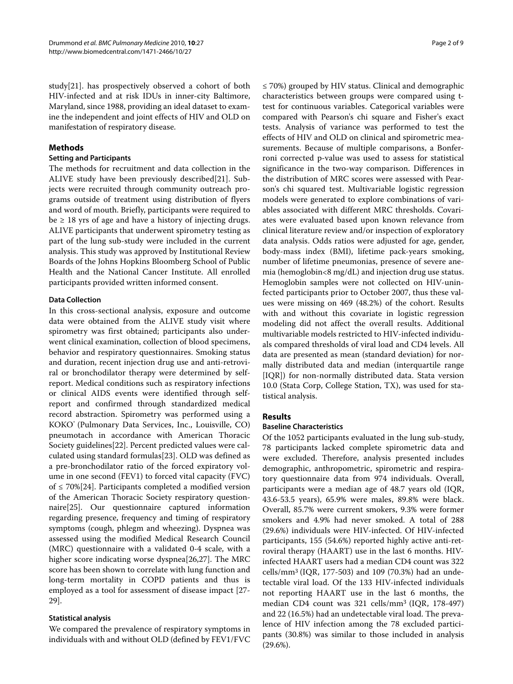study[[21\]](#page-7-14). has prospectively observed a cohort of both HIV-infected and at risk IDUs in inner-city Baltimore, Maryland, since 1988, providing an ideal dataset to examine the independent and joint effects of HIV and OLD on manifestation of respiratory disease.

# **Methods**

# **Setting and Participants**

The methods for recruitment and data collection in the ALIVE study have been previously described[[21\]](#page-7-14). Subjects were recruited through community outreach programs outside of treatment using distribution of flyers and word of mouth. Briefly, participants were required to  $be \geq 18$  yrs of age and have a history of injecting drugs. ALIVE participants that underwent spirometry testing as part of the lung sub-study were included in the current analysis. This study was approved by Institutional Review Boards of the Johns Hopkins Bloomberg School of Public Health and the National Cancer Institute. All enrolled participants provided written informed consent.

## **Data Collection**

In this cross-sectional analysis, exposure and outcome data were obtained from the ALIVE study visit where spirometry was first obtained; participants also underwent clinical examination, collection of blood specimens, behavior and respiratory questionnaires. Smoking status and duration, recent injection drug use and anti-retroviral or bronchodilator therapy were determined by selfreport. Medical conditions such as respiratory infections or clinical AIDS events were identified through selfreport and confirmed through standardized medical record abstraction. Spirometry was performed using a KOKO® (Pulmonary Data Services, Inc., Louisville, CO) pneumotach in accordance with American Thoracic Society guidelines[\[22](#page-7-15)]. Percent predicted values were calculated using standard formulas[[23\]](#page-7-16). OLD was defined as a pre-bronchodilator ratio of the forced expiratory volume in one second (FEV1) to forced vital capacity (FVC) of ≤ 70%[\[24](#page-7-17)]. Participants completed a modified version of the American Thoracic Society respiratory questionnaire[[25](#page-7-18)]. Our questionnaire captured information regarding presence, frequency and timing of respiratory symptoms (cough, phlegm and wheezing). Dyspnea was assessed using the modified Medical Research Council (MRC) questionnaire with a validated 0-4 scale, with a higher score indicating worse dyspnea[[26,](#page-7-19)[27\]](#page-7-20). The MRC score has been shown to correlate with lung function and long-term mortality in COPD patients and thus is employed as a tool for assessment of disease impact [\[27-](#page-7-20) [29](#page-8-0)].

# **Statistical analysis**

We compared the prevalence of respiratory symptoms in individuals with and without OLD (defined by FEV1/FVC

≤ 70%) grouped by HIV status. Clinical and demographic characteristics between groups were compared using ttest for continuous variables. Categorical variables were compared with Pearson's chi square and Fisher's exact tests. Analysis of variance was performed to test the effects of HIV and OLD on clinical and spirometric measurements. Because of multiple comparisons, a Bonferroni corrected p-value was used to assess for statistical significance in the two-way comparison. Differences in the distribution of MRC scores were assessed with Pearson's chi squared test. Multivariable logistic regression models were generated to explore combinations of variables associated with different MRC thresholds. Covariates were evaluated based upon known relevance from clinical literature review and/or inspection of exploratory data analysis. Odds ratios were adjusted for age, gender, body-mass index (BMI), lifetime pack-years smoking, number of lifetime pneumonias, presence of severe anemia (hemoglobin<8 mg/dL) and injection drug use status. Hemoglobin samples were not collected on HIV-uninfected participants prior to October 2007, thus these values were missing on 469 (48.2%) of the cohort. Results with and without this covariate in logistic regression modeling did not affect the overall results. Additional multivariable models restricted to HIV-infected individuals compared thresholds of viral load and CD4 levels. All data are presented as mean (standard deviation) for normally distributed data and median (interquartile range [IQR]) for non-normally distributed data. Stata version 10.0 (Stata Corp, College Station, TX), was used for statistical analysis.

# **Results**

# **Baseline Characteristics**

Of the 1052 participants evaluated in the lung sub-study, 78 participants lacked complete spirometric data and were excluded. Therefore, analysis presented includes demographic, anthropometric, spirometric and respiratory questionnaire data from 974 individuals. Overall, participants were a median age of 48.7 years old (IQR, 43.6-53.5 years), 65.9% were males, 89.8% were black. Overall, 85.7% were current smokers, 9.3% were former smokers and 4.9% had never smoked. A total of 288 (29.6%) individuals were HIV-infected. Of HIV-infected participants, 155 (54.6%) reported highly active anti-retroviral therapy (HAART) use in the last 6 months. HIVinfected HAART users had a median CD4 count was 322 cells/mm3 (IQR, 177-503) and 109 (70.3%) had an undetectable viral load. Of the 133 HIV-infected individuals not reporting HAART use in the last 6 months, the median CD4 count was 321 cells/mm3 (IQR, 178-497) and 22 (16.5%) had an undetectable viral load. The prevalence of HIV infection among the 78 excluded participants (30.8%) was similar to those included in analysis (29.6%).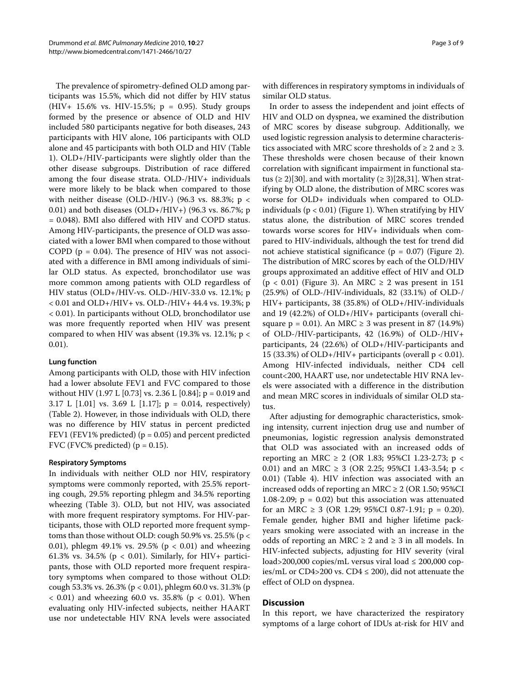The prevalence of spirometry-defined OLD among participants was 15.5%, which did not differ by HIV status  $(HIV+ 15.6\% \text{ vs. } HIV-15.5\%; p = 0.95)$ . Study groups formed by the presence or absence of OLD and HIV included 580 participants negative for both diseases, 243 participants with HIV alone, 106 participants with OLD alone and 45 participants with both OLD and HIV (Table 1). OLD+/HIV-participants were slightly older than the other disease subgroups. Distribution of race differed among the four disease strata. OLD-/HIV+ individuals were more likely to be black when compared to those with neither disease (OLD-/HIV-) (96.3 vs. 88.3%;  $p <$ 0.01) and both diseases (OLD+/HIV+) (96.3 vs. 86.7%; p = 0.048). BMI also differed with HIV and COPD status. Among HIV-participants, the presence of OLD was associated with a lower BMI when compared to those without COPD ( $p = 0.04$ ). The presence of HIV was not associated with a difference in BMI among individuals of similar OLD status. As expected, bronchodilator use was more common among patients with OLD regardless of HIV status (OLD+/HIV-vs. OLD-/HIV-33.0 vs. 12.1%; p  $< 0.01$  and OLD+/HIV+ vs. OLD-/HIV+ 44.4 vs. 19.3%; p < 0.01). In participants without OLD, bronchodilator use was more frequently reported when HIV was present compared to when HIV was absent (19.3% vs. 12.1%;  $p <$ 0.01).

# **Lung function**

Among participants with OLD, those with HIV infection had a lower absolute FEV1 and FVC compared to those without HIV (1.97 L [0.73] vs. 2.36 L [0.84]; p = 0.019 and 3.17 L [1.01] vs. 3.69 L [1.17]; p = 0.014, respectively) (Table 2). However, in those individuals with OLD, there was no difference by HIV status in percent predicted FEV1 (FEV1% predicted) ( $p = 0.05$ ) and percent predicted FVC (FVC% predicted)  $(p = 0.15)$ .

## **Respiratory Symptoms**

In individuals with neither OLD nor HIV, respiratory symptoms were commonly reported, with 25.5% reporting cough, 29.5% reporting phlegm and 34.5% reporting wheezing (Table 3). OLD, but not HIV, was associated with more frequent respiratory symptoms. For HIV-participants, those with OLD reported more frequent symptoms than those without OLD: cough 50.9% vs. 25.5% (p < 0.01), phlegm 49.1% vs. 29.5% ( $p < 0.01$ ) and wheezing 61.3% vs. 34.5% ( $p < 0.01$ ). Similarly, for HIV+ participants, those with OLD reported more frequent respiratory symptoms when compared to those without OLD: cough 53.3% vs. 26.3% (p < 0.01), phlegm 60.0 vs. 31.3% (p  $< 0.01$ ) and wheezing 60.0 vs. 35.8% (p  $< 0.01$ ). When evaluating only HIV-infected subjects, neither HAART use nor undetectable HIV RNA levels were associated with differences in respiratory symptoms in individuals of similar OLD status.

In order to assess the independent and joint effects of HIV and OLD on dyspnea, we examined the distribution of MRC scores by disease subgroup. Additionally, we used logistic regression analysis to determine characteristics associated with MRC score thresholds of  $\geq 2$  and  $\geq 3$ . These thresholds were chosen because of their known correlation with significant impairment in functional status ( $\geq$  2)[[30](#page-8-1)]. and with mortality ( $\geq$  3)[[28,](#page-8-2)[31\]](#page-8-3). When stratifying by OLD alone, the distribution of MRC scores was worse for OLD+ individuals when compared to OLDindividuals ( $p < 0.01$ ) (Figure [1](#page-5-0)). When stratifying by HIV status alone, the distribution of MRC scores trended towards worse scores for HIV+ individuals when compared to HIV-individuals, although the test for trend did not achieve statistical significance (p = 0.07) (Figure [2](#page-6-0)). The distribution of MRC scores by each of the OLD/HIV groups approximated an additive effect of HIV and OLD  $(p < 0.01)$  (Figure [3](#page-5-1)). An MRC  $\geq 2$  was present in 151 (25.9%) of OLD-/HIV-individuals, 82 (33.1%) of OLD-/ HIV+ participants, 38 (35.8%) of OLD+/HIV-individuals and 19 (42.2%) of OLD+/HIV+ participants (overall chisquare  $p = 0.01$ ). An MRC  $\geq 3$  was present in 87 (14.9%) of OLD-/HIV-participants, 42 (16.9%) of OLD-/HIV+ participants, 24 (22.6%) of OLD+/HIV-participants and 15 (33.3%) of OLD+/HIV+ participants (overall  $p < 0.01$ ). Among HIV-infected individuals, neither CD4 cell count<200, HAART use, nor undetectable HIV RNA levels were associated with a difference in the distribution and mean MRC scores in individuals of similar OLD status.

After adjusting for demographic characteristics, smoking intensity, current injection drug use and number of pneumonias, logistic regression analysis demonstrated that OLD was associated with an increased odds of reporting an MRC  $\geq$  2 (OR 1.83; 95%CI 1.23-2.73; p < 0.01) and an MRC  $\geq$  3 (OR 2.25; 95%CI 1.43-3.54; p < 0.01) (Table 4). HIV infection was associated with an increased odds of reporting an MRC  $\geq$  2 (OR 1.50; 95%CI 1.08-2.09;  $p = 0.02$ ) but this association was attenuated for an MRC  $\geq$  3 (OR 1.29; 95%CI 0.87-1.91; p = 0.20). Female gender, higher BMI and higher lifetime packyears smoking were associated with an increase in the odds of reporting an MRC  $\geq 2$  and  $\geq 3$  in all models. In HIV-infected subjects, adjusting for HIV severity (viral load>200,000 copies/mL versus viral load ≤ 200,000 copies/mL or CD4>200 vs. CD4  $\leq$  200), did not attenuate the effect of OLD on dyspnea.

## **Discussion**

In this report, we have characterized the respiratory symptoms of a large cohort of IDUs at-risk for HIV and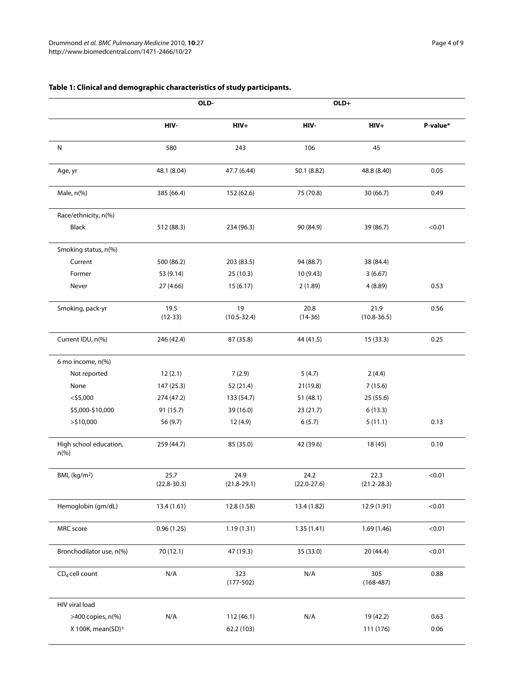|                                   | OLD-                    |                         | $OLD+$                  |                         |          |
|-----------------------------------|-------------------------|-------------------------|-------------------------|-------------------------|----------|
|                                   | HIV-                    | $HIV+$                  | HIV-                    | $HIV+$                  | P-value* |
| ${\sf N}$                         | 580                     | 243                     | 106                     | 45                      |          |
| Age, yr                           | 48.1 (8.04)             | 47.7 (6.44)             | 50.1 (8.82)             | 48.8 (8.40)             | 0.05     |
| Male, n(%)                        | 385 (66.4)              | 152 (62.6)              | 75 (70.8)               | 30 (66.7)               | 0.49     |
| Race/ethnicity, n(%)              |                         |                         |                         |                         |          |
| Black                             | 512 (88.3)              | 234 (96.3)              | 90 (84.9)               | 39 (86.7)               | < 0.01   |
| Smoking status, n(%)              |                         |                         |                         |                         |          |
| Current                           | 500 (86.2)              | 203 (83.5)              | 94 (88.7)               | 38 (84.4)               |          |
| Former                            | 53 (9.14)               | 25 (10.3)               | 10 (9.43)               | 3(6.67)                 |          |
| Never                             | 27 (4.66)               | 15 (6.17)               | 2(1.89)                 | 4(8.89)                 | 0.53     |
| Smoking, pack-yr                  | 19.5<br>$(12-33)$       | 19<br>$(10.5 - 32.4)$   | 20.8<br>$(14-36)$       | 21.9<br>$(10.8 - 36.5)$ | 0.56     |
| Current IDU, n(%)                 | 246 (42.4)              | 87 (35.8)               | 44 (41.5)               | 15 (33.3)               | 0.25     |
| 6 mo income, $n$ <sup>(%)</sup>   |                         |                         |                         |                         |          |
| Not reported                      | 12(2.1)                 | 7(2.9)                  | 5(4.7)                  | 2(4.4)                  |          |
| None                              | 147 (25.3)              | 52 (21.4)               | 21(19.8)                | 7(15.6)                 |          |
| $<$ \$5,000                       | 274 (47.2)              | 133 (54.7)              | 51(48.1)                | 25 (55.6)               |          |
| \$5,000-\$10,000                  | 91 (15.7)               | 39 (16.0)               | 23(21.7)                | 6(13.3)                 |          |
| $>$ \$10,000                      | 56 (9.7)                | 12 (4.9)                | 6(5.7)                  | 5(11.1)                 | 0.13     |
| High school education,<br>$n$ (%) | 259 (44.7)              | 85 (35.0)               | 42 (39.6)               | 18 (45)                 | 0.10     |
| BMI, (kg/m <sup>2</sup> )         | 25.7<br>$(22.8 - 30.3)$ | 24.9<br>$(21.8 - 29.1)$ | 24.2<br>$(22.0 - 27.6)$ | 22.3<br>$(21.2 - 28.3)$ | < 0.01   |
| Hemoglobin (gm/dL)                | 13.4 (1.61)             | 12.8 (1.58)             | 13.4 (1.82)             | 12.9 (1.91)             | < 0.01   |
| MRC score                         | 0.96(1.25)              | 1.19(1.31)              | 1.35(1.41)              | 1.69(1.46)              | < 0.01   |
| Bronchodilator use, n(%)          | 70 (12.1)               | 47 (19.3)               | 35 (33.0)               | 20 (44.4)               | < 0.01   |
| $CD4$ cell count                  | N/A                     | 323<br>$(177-502)$      | N/A                     | 305<br>$(168 - 487)$    | 0.88     |
| HIV viral load                    |                         |                         |                         |                         |          |
| $>400$ copies, $n(\%)$            | N/A                     | 112 (46.1)              | N/A                     | 19 (42.2)               | 0.63     |
| X 100K, mean(SD) <sup>±</sup>     |                         | 62.2 (103)              |                         | 111 (176)               | 0.06     |
|                                   |                         |                         |                         |                         |          |

# **Table 1: Clinical and demographic characteristics of study participants.**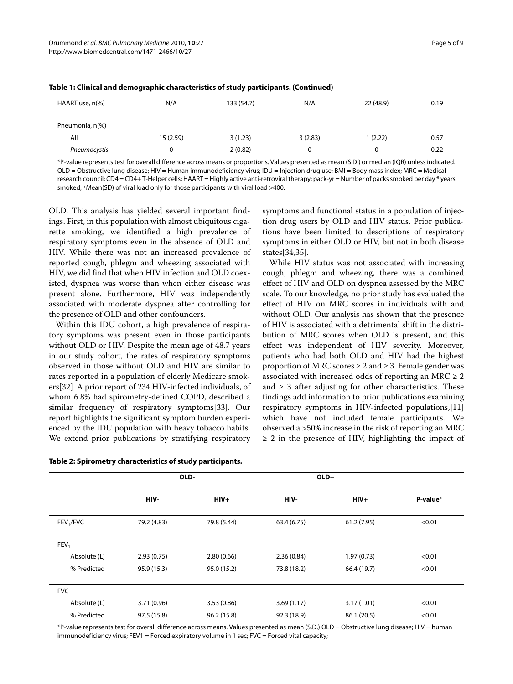| HAART use, n(%) | N/A       | 133 (54.7) | N/A     | 22 (48.9) | 0.19 |
|-----------------|-----------|------------|---------|-----------|------|
| Pneumonia, n(%) |           |            |         |           |      |
| All             | 15 (2.59) | 3(1.23)    | 3(2.83) | 1(2.22)   | 0.57 |
| Pneumocystis    |           | 2(0.82)    | 0       | $\Omega$  | 0.22 |

**Table 1: Clinical and demographic characteristics of study participants. (Continued)**

\*P-value represents test for overall difference across means or proportions. Values presented as mean (S.D.) or median (IQR) unless indicated. OLD = Obstructive lung disease; HIV = Human immunodeficiency virus; IDU = Injection drug use; BMI = Body mass index; MRC = Medical research council; CD4 = CD4+ T-Helper cells; HAART = Highly active anti-retroviral therapy; pack-yr = Number of packs smoked per day \* years smoked; ±Mean(SD) of viral load only for those participants with viral load >400.

OLD. This analysis has yielded several important findings. First, in this population with almost ubiquitous cigarette smoking, we identified a high prevalence of respiratory symptoms even in the absence of OLD and HIV. While there was not an increased prevalence of reported cough, phlegm and wheezing associated with HIV, we did find that when HIV infection and OLD coexisted, dyspnea was worse than when either disease was present alone. Furthermore, HIV was independently associated with moderate dyspnea after controlling for the presence of OLD and other confounders.

Within this IDU cohort, a high prevalence of respiratory symptoms was present even in those participants without OLD or HIV. Despite the mean age of 48.7 years in our study cohort, the rates of respiratory symptoms observed in those without OLD and HIV are similar to rates reported in a population of elderly Medicare smokers[[32\]](#page-8-4). A prior report of 234 HIV-infected individuals, of whom 6.8% had spirometry-defined COPD, described a similar frequency of respiratory symptoms[[33](#page-8-5)]. Our report highlights the significant symptom burden experienced by the IDU population with heavy tobacco habits. We extend prior publications by stratifying respiratory

**Table 2: Spirometry characteristics of study participants.**

symptoms and functional status in a population of injection drug users by OLD and HIV status. Prior publications have been limited to descriptions of respiratory symptoms in either OLD or HIV, but not in both disease states[[34,](#page-8-6)[35\]](#page-8-7).

While HIV status was not associated with increasing cough, phlegm and wheezing, there was a combined effect of HIV and OLD on dyspnea assessed by the MRC scale. To our knowledge, no prior study has evaluated the effect of HIV on MRC scores in individuals with and without OLD. Our analysis has shown that the presence of HIV is associated with a detrimental shift in the distribution of MRC scores when OLD is present, and this effect was independent of HIV severity. Moreover, patients who had both OLD and HIV had the highest proportion of MRC scores  $\geq 2$  and  $\geq 3$ . Female gender was associated with increased odds of reporting an MRC  $\geq 2$ and  $\geq$  3 after adjusting for other characteristics. These findings add information to prior publications examining respiratory symptoms in HIV-infected populations,[[11](#page-7-4)] which have not included female participants. We observed a >50% increase in the risk of reporting an MRC  $\geq$  2 in the presence of HIV, highlighting the impact of

|                       | OLD-        |             |             | OLD+        |          |
|-----------------------|-------------|-------------|-------------|-------------|----------|
|                       | HIV-        | $HIV+$      | HIV-        | $HIV+$      | P-value* |
| FEV <sub>1</sub> /FVC | 79.2 (4.83) | 79.8 (5.44) | 63.4(6.75)  | 61.2(7.95)  | < 0.01   |
| FEV <sub>1</sub>      |             |             |             |             |          |
| Absolute (L)          | 2.93(0.75)  | 2.80(0.66)  | 2.36(0.84)  | 1.97(0.73)  | < 0.01   |
| % Predicted           | 95.9 (15.3) | 95.0 (15.2) | 73.8 (18.2) | 66.4 (19.7) | < 0.01   |
| <b>FVC</b>            |             |             |             |             |          |
| Absolute (L)          | 3.71(0.96)  | 3.53(0.86)  | 3.69(1.17)  | 3.17(1.01)  | < 0.01   |
| % Predicted           | 97.5 (15.8) | 96.2 (15.8) | 92.3 (18.9) | 86.1 (20.5) | < 0.01   |

\*P-value represents test for overall difference across means. Values presented as mean (S.D.) OLD = Obstructive lung disease; HIV = human immunodeficiency virus; FEV1 = Forced expiratory volume in 1 sec; FVC = Forced vital capacity;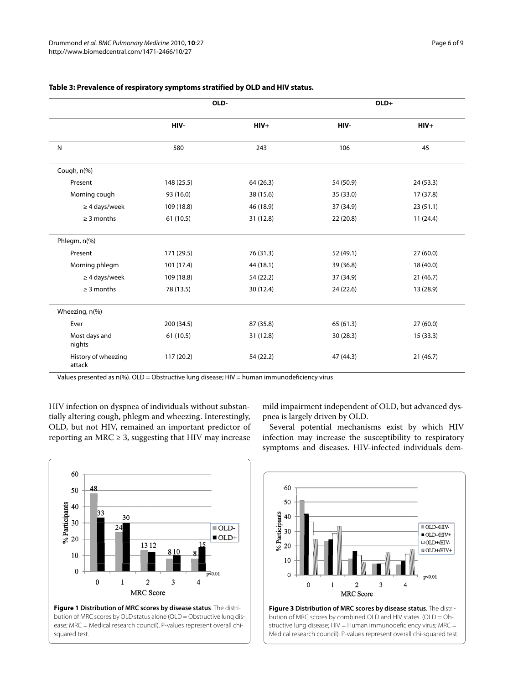|                               | OLD-       |           | OLD+      |           |
|-------------------------------|------------|-----------|-----------|-----------|
|                               | HIV-       | $HIV+$    | HIV-      | $HIV+$    |
| $\mathsf{N}$                  | 580        | 243       | 106       | 45        |
| Cough, n(%)                   |            |           |           |           |
| Present                       | 148 (25.5) | 64(26.3)  | 54 (50.9) | 24(53.3)  |
| Morning cough                 | 93 (16.0)  | 38 (15.6) | 35 (33.0) | 17 (37.8) |
| $\geq$ 4 days/week            | 109 (18.8) | 46 (18.9) | 37 (34.9) | 23(51.1)  |
| $\geq$ 3 months               | 61(10.5)   | 31 (12.8) | 22 (20.8) | 11(24.4)  |
| Phlegm, n(%)                  |            |           |           |           |
| Present                       | 171 (29.5) | 76 (31.3) | 52 (49.1) | 27(60.0)  |
| Morning phlegm                | 101 (17.4) | 44 (18.1) | 39 (36.8) | 18 (40.0) |
| $\geq$ 4 days/week            | 109 (18.8) | 54 (22.2) | 37 (34.9) | 21(46.7)  |
| $\geq$ 3 months               | 78 (13.5)  | 30 (12.4) | 24 (22.6) | 13 (28.9) |
| Wheezing, n(%)                |            |           |           |           |
| Ever                          | 200 (34.5) | 87 (35.8) | 65(61.3)  | 27(60.0)  |
| Most days and<br>nights       | 61(10.5)   | 31 (12.8) | 30(28.3)  | 15(33.3)  |
| History of wheezing<br>attack | 117 (20.2) | 54 (22.2) | 47 (44.3) | 21(46.7)  |

# **Table 3: Prevalence of respiratory symptoms stratified by OLD and HIV status.**

Values presented as n(%). OLD = Obstructive lung disease; HIV = human immunodeficiency virus

HIV infection on dyspnea of individuals without substantially altering cough, phlegm and wheezing. Interestingly, OLD, but not HIV, remained an important predictor of reporting an MRC  $\geq$  3, suggesting that HIV may increase

mild impairment independent of OLD, but advanced dyspnea is largely driven by OLD.

Several potential mechanisms exist by which HIV infection may increase the susceptibility to respiratory symptoms and diseases. HIV-infected individuals dem-

<span id="page-5-0"></span>

bution of MRC scores by OLD status alone (OLD = Obstructive lung disease; MRC = Medical research council). P-values represent overall chisquared test.

<span id="page-5-1"></span>

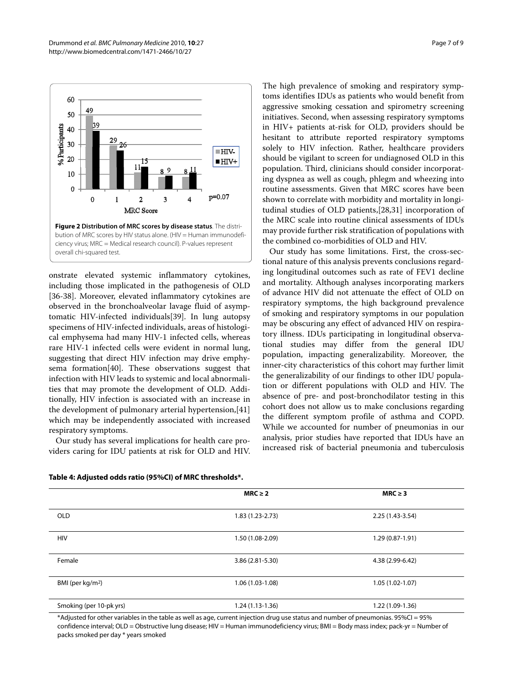<span id="page-6-0"></span>

onstrate elevated systemic inflammatory cytokines, including those implicated in the pathogenesis of OLD [[36-](#page-8-8)[38](#page-8-9)]. Moreover, elevated inflammatory cytokines are observed in the bronchoalveolar lavage fluid of asymptomatic HIV-infected individuals[[39\]](#page-8-10). In lung autopsy specimens of HIV-infected individuals, areas of histological emphysema had many HIV-1 infected cells, whereas rare HIV-1 infected cells were evident in normal lung, suggesting that direct HIV infection may drive emphysema formation[[40\]](#page-8-11). These observations suggest that infection with HIV leads to systemic and local abnormalities that may promote the development of OLD. Additionally, HIV infection is associated with an increase in the development of pulmonary arterial hypertension,[[41](#page-8-12)] which may be independently associated with increased respiratory symptoms.

Our study has several implications for health care providers caring for IDU patients at risk for OLD and HIV.

The high prevalence of smoking and respiratory symptoms identifies IDUs as patients who would benefit from aggressive smoking cessation and spirometry screening initiatives. Second, when assessing respiratory symptoms in HIV+ patients at-risk for OLD, providers should be hesitant to attribute reported respiratory symptoms solely to HIV infection. Rather, healthcare providers should be vigilant to screen for undiagnosed OLD in this population. Third, clinicians should consider incorporating dyspnea as well as cough, phlegm and wheezing into routine assessments. Given that MRC scores have been shown to correlate with morbidity and mortality in longitudinal studies of OLD patients,[\[28](#page-8-2)[,31](#page-8-3)] incorporation of the MRC scale into routine clinical assessments of IDUs may provide further risk stratification of populations with the combined co-morbidities of OLD and HIV.

Our study has some limitations. First, the cross-sectional nature of this analysis prevents conclusions regarding longitudinal outcomes such as rate of FEV1 decline and mortality. Although analyses incorporating markers of advance HIV did not attenuate the effect of OLD on respiratory symptoms, the high background prevalence of smoking and respiratory symptoms in our population may be obscuring any effect of advanced HIV on respiratory illness. IDUs participating in longitudinal observational studies may differ from the general IDU population, impacting generalizability. Moreover, the inner-city characteristics of this cohort may further limit the generalizability of our findings to other IDU population or different populations with OLD and HIV. The absence of pre- and post-bronchodilator testing in this cohort does not allow us to make conclusions regarding the different symptom profile of asthma and COPD. While we accounted for number of pneumonias in our analysis, prior studies have reported that IDUs have an increased risk of bacterial pneumonia and tuberculosis

|                              | $MRC \geq 2$        | $MRC \geq 3$      |
|------------------------------|---------------------|-------------------|
| <b>OLD</b>                   | $1.83(1.23 - 2.73)$ | 2.25 (1.43-3.54)  |
| <b>HIV</b>                   | 1.50 (1.08-2.09)    | $1.29(0.87-1.91)$ |
| Female                       | 3.86 (2.81-5.30)    | 4.38 (2.99-6.42)  |
| BMI (per kg/m <sup>2</sup> ) | 1.06 (1.03-1.08)    | $1.05(1.02-1.07)$ |
| Smoking (per 10-pk yrs)      | $1.24(1.13-1.36)$   | 1.22 (1.09-1.36)  |

## **Table 4: Adjusted odds ratio (95%CI) of MRC thresholds\*.**

\*Adjusted for other variables in the table as well as age, current injection drug use status and number of pneumonias. 95%CI = 95% confidence interval; OLD = Obstructive lung disease; HIV = Human immunodeficiency virus; BMI = Body mass index; pack-yr = Number of packs smoked per day \* years smoked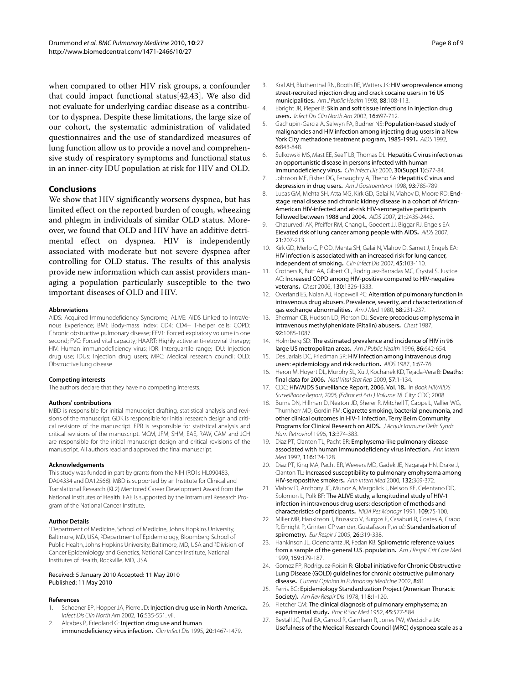when compared to other HIV risk groups, a confounder that could impact functional status[\[42](#page-8-13)[,43](#page-8-14)]. We also did not evaluate for underlying cardiac disease as a contributor to dyspnea. Despite these limitations, the large size of our cohort, the systematic administration of validated questionnaires and the use of standardized measures of lung function allow us to provide a novel and comprehensive study of respiratory symptoms and functional status in an inner-city IDU population at risk for HIV and OLD.

## **Conclusions**

We show that HIV significantly worsens dyspnea, but has limited effect on the reported burden of cough, wheezing and phlegm in individuals of similar OLD status. Moreover, we found that OLD and HIV have an additive detrimental effect on dyspnea. HIV is independently associated with moderate but not severe dyspnea after controlling for OLD status. The results of this analysis provide new information which can assist providers managing a population particularly susceptible to the two important diseases of OLD and HIV.

## **Abbreviations**

AIDS: Acquired Immunodeficiency Syndrome; ALIVE: AIDS Linked to IntraVenous Experience; BMI: Body-mass index; CD4: CD4+ T-helper cells; COPD: Chronic obstructive pulmonary disease; FEV1: Forced expiratory volume in one second; FVC: Forced vital capacity; HAART: Highly active anti-retroviral therapy; HIV: Human immunodeficiency virus; IQR: Interquartile range; IDU: Injection drug use; IDUs: Injection drug users; MRC: Medical research council; OLD: Obstructive lung disease

#### **Competing interests**

The authors declare that they have no competing interests.

#### **Authors' contributions**

MBD is responsible for initial manuscript drafting, statistical analysis and revisions of the manuscript. GDK is responsible for initial research design and critical revisions of the manuscript. EPR is responsible for statistical analysis and critical revisions of the manuscript. MCM, JFM, SHM, EAE, RAW, CAM and JCH are responsible for the initial manuscript design and critical revisions of the manuscript. All authors read and approved the final manuscript.

#### **Acknowledgements**

This study was funded in part by grants from the NIH (RO1s HL090483, DA04334 and DA12568). MBD is supported by an Institute for Clinical and Translational Research (KL2) Mentored Career Development Award from the National Institutes of Health. EAE is supported by the Intramural Research Program of the National Cancer Institute.

#### **Author Details**

1Department of Medicine, School of Medicine, Johns Hopkins University, Baltimore, MD, USA, 2Department of Epidemiology, Bloomberg School of Public Health, Johns Hopkins University, Baltimore, MD, USA and 3Division of Cancer Epidemiology and Genetics, National Cancer Institute, National Institutes of Health, Rockville, MD, USA

## Received: 5 January 2010 Accepted: 11 May 2010 Published: 11 May 2010

#### **References**

- <span id="page-7-0"></span>1. Schoener EP, Hopper JA, Pierre JD: Injection drug use in North America**.** Infect Dis Clin North Am 2002, 16:535-551. vii.
- Alcabes P, Friedland G: Injection drug use and human immunodeficiency virus infection**.** Clin Infect Dis 1995, 20:1467-1479.
- <span id="page-7-6"></span>3. Kral AH, Bluthenthal RN, Booth RE, Watters JK: **HIV seroprevalence among** street-recruited injection drug and crack cocaine users in 16 US municipalities**.** Am J Public Health 1998, 88:108-113.
- <span id="page-7-1"></span>4. Ebright JR, Pieper B: Skin and soft tissue infections in injection drug users**.** Infect Dis Clin North Am 2002, 16:697-712.
- <span id="page-7-2"></span>5. Gachupin-Garcia A, Selwyn PA, Budner NS: Population-based study of malignancies and HIV infection among injecting drug users in a New York City methadone treatment program, 1985-1991**.** AIDS 1992, 6:843-848.
- 6. Sulkowski MS, Mast EE, Seeff LB, Thomas DL: Hepatitis C virus infection as an opportunistic disease in persons infected with human immunodeficiency virus**.** Clin Infect Dis 2000, 30(Suppl 1):S77-84.
- 7. Johnson ME, Fisher DG, Fenaughty A, Theno SA: Hepatitis C virus and depression in drug users**.** Am J Gastroenterol 1998, 93:785-789.
- 8. Lucas GM, Mehta SH, Atta MG, Kirk GD, Galai N, Vlahov D, Moore RD: Endstage renal disease and chronic kidney disease in a cohort of African-American HIV-infected and at-risk HIV-seronegative participants followed between 1988 and 2004**.** AIDS 2007, 21:2435-2443.
- 9. Chaturvedi AK, Pfeiffer RM, Chang L, Goedert JJ, Biggar RJ, Engels EA: Elevated risk of lung cancer among people with AIDS**.** AIDS 2007, 21:207-213.
- <span id="page-7-3"></span>10. Kirk GD, Merlo C, P OD, Mehta SH, Galai N, Vlahov D, Samet J, Engels EA: HIV infection is associated with an increased risk for lung cancer, independent of smoking**.** Clin Infect Dis 2007, 45:103-110.
- <span id="page-7-4"></span>11. Crothers K, Butt AA, Gibert CL, Rodriguez-Barradas MC, Crystal S, Justice AC: Increased COPD among HIV-positive compared to HIV-negative veterans**.** Chest 2006, 130:1326-1333.
- 12. Overland ES, Nolan AJ, Hopewell PC: Alteration of pulmonary function in intravenous drug abusers. Prevalence, severity, and characterization of gas exchange abnormalities**.** Am J Med 1980, 68:231-237.
- <span id="page-7-5"></span>13. Sherman CB, Hudson LD, Pierson DJ: Severe precocious emphysema in intravenous methylphenidate (Ritalin) abusers**.** Chest 1987, 92:1085-1087.
- <span id="page-7-7"></span>14. Holmberg SD: The estimated prevalence and incidence of HIV in 96 large US metropolitan areas**.** Am J Public Health 1996, 86:642-654.
- <span id="page-7-8"></span>15. Des Jarlais DC, Friedman SR: HIV infection among intravenous drug users: epidemiology and risk reduction**.** AIDS 1987, 1:67-76.
- <span id="page-7-9"></span>16. Heron M, Hoyert DL, Murphy SL, Xu J, Kochanek KD, Tejada-Vera B: Deaths: final data for 2006**.** Natl Vital Stat Rep 2009, 57:1-134.
- <span id="page-7-10"></span>17. CDC: HIV/AIDS Surveillance Report, 2006. Vol. 18**.** In Book HIV/AIDS Surveillance Report, 2006, (Editor ed.^ds.) Volume 18. City: CDC: 2008.
- <span id="page-7-11"></span>18. Burns DN, Hillman D, Neaton JD, Sherer R, Mitchell T, Capps L, Vallier WG, Thurnherr MD, Gordin FM: Cigarette smoking, bacterial pneumonia, and other clinical outcomes in HIV-1 infection. Terry Beirn Community Programs for Clinical Research on AIDS**.** J Acquir Immune Defic Syndr Hum Retrovirol 1996, 13:374-383.
- <span id="page-7-12"></span>19. Diaz PT, Clanton TL, Pacht ER: Emphysema-like pulmonary disease associated with human immunodeficiency virus infection**.** Ann Intern Med 1992, 116:124-128.
- <span id="page-7-13"></span>20. Diaz PT, King MA, Pacht ER, Wewers MD, Gadek JE, Nagaraja HN, Drake J, Clanton TL: Increased susceptibility to pulmonary emphysema among HIV-seropositive smokers**.** Ann Intern Med 2000, 132:369-372.
- <span id="page-7-14"></span>21. Vlahov D, Anthony JC, Munoz A, Margolick J, Nelson KE, Celentano DD, Solomon L, Polk BF: The ALIVE study, a longitudinal study of HIV-1 infection in intravenous drug users: description of methods and characteristics of participants**.** NIDA Res Monogr 1991, 109:75-100.
- <span id="page-7-15"></span>22. Miller MR, Hankinson J, Brusasco V, Burgos F, Casaburi R, Coates A, Crapo R, Enright P, Grinten CP van der, Gustafsson P, et al.: Standardisation of spirometry**.** Eur Respir J 2005, 26:319-338.
- <span id="page-7-16"></span>23. Hankinson JL, Odencrantz JR, Fedan KB: Spirometric reference values from a sample of the general U.S. population**.** Am J Respir Crit Care Med 1999, 159:179-187.
- <span id="page-7-17"></span>24. Gomez FP, Rodriguez-Roisin R: Global initiative for Chronic Obstructive Lung Disease (GOLD) guidelines for chronic obstructive pulmonary disease**.** Current Opinion in Pulmonary Medicine 2002, 8:81.
- <span id="page-7-18"></span>25. Ferris BG: Epidemiology Standardization Project (American Thoracic Society)**.** Am Rev Respir Dis 1978, 118:1-120.
- <span id="page-7-19"></span>26. Fletcher CM: The clinical diagnosis of pulmonary emphysema; an experimental study**.** Proc R Soc Med 1952, 45:577-584.
- <span id="page-7-20"></span>27. Bestall JC, Paul EA, Garrod R, Garnham R, Jones PW, Wedzicha JA: Usefulness of the Medical Research Council (MRC) dyspnoea scale as a